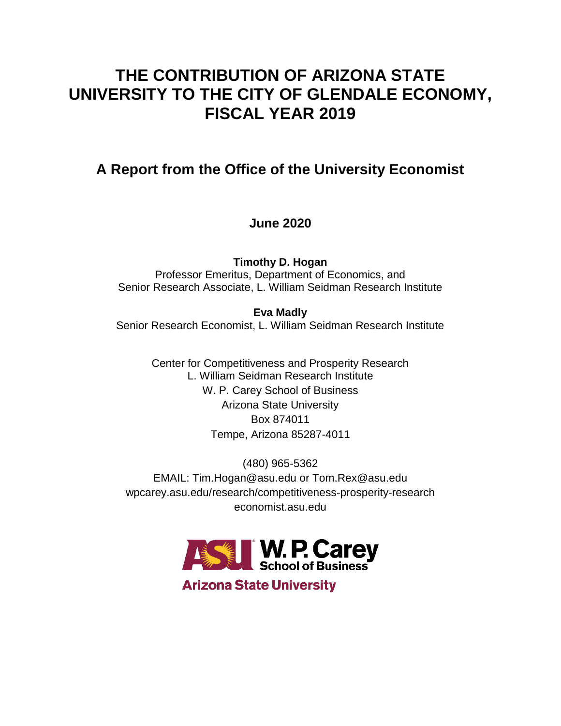# **THE CONTRIBUTION OF ARIZONA STATE UNIVERSITY TO THE CITY OF GLENDALE ECONOMY, FISCAL YEAR 2019**

## **A Report from the Office of the University Economist**

## **June 2020**

**Timothy D. Hogan** Professor Emeritus, Department of Economics, and Senior Research Associate, L. William Seidman Research Institute

**Eva Madly** Senior Research Economist, L. William Seidman Research Institute

> Center for Competitiveness and Prosperity Research L. William Seidman Research Institute W. P. Carey School of Business Arizona State University Box 874011 Tempe, Arizona 85287-4011

(480) 965-5362 EMAIL: Tim.Hogan@asu.edu or Tom.Rex@asu.edu wpcarey.asu.edu/research/competitiveness-prosperity-research economist.asu.edu



**Arizona State University**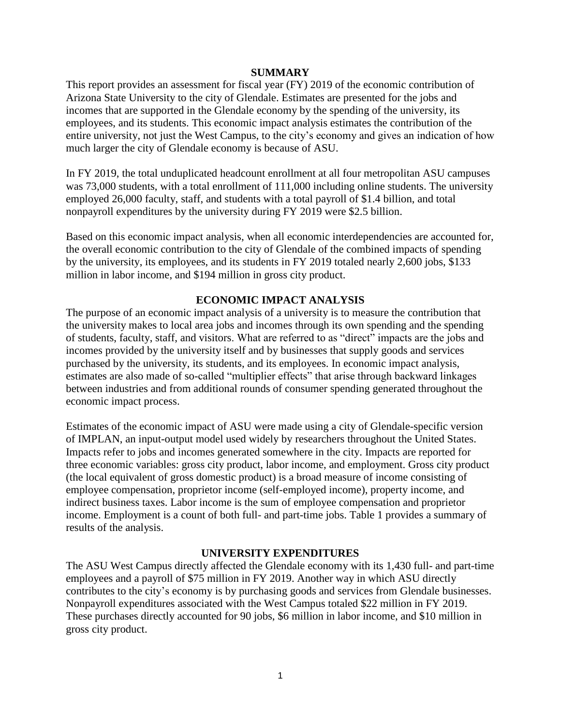### **SUMMARY**

This report provides an assessment for fiscal year (FY) 2019 of the economic contribution of Arizona State University to the city of Glendale. Estimates are presented for the jobs and incomes that are supported in the Glendale economy by the spending of the university, its employees, and its students. This economic impact analysis estimates the contribution of the entire university, not just the West Campus, to the city's economy and gives an indication of how much larger the city of Glendale economy is because of ASU.

In FY 2019, the total unduplicated headcount enrollment at all four metropolitan ASU campuses was 73,000 students, with a total enrollment of 111,000 including online students. The university employed 26,000 faculty, staff, and students with a total payroll of \$1.4 billion, and total nonpayroll expenditures by the university during FY 2019 were \$2.5 billion.

Based on this economic impact analysis, when all economic interdependencies are accounted for, the overall economic contribution to the city of Glendale of the combined impacts of spending by the university, its employees, and its students in FY 2019 totaled nearly 2,600 jobs, \$133 million in labor income, and \$194 million in gross city product.

## **ECONOMIC IMPACT ANALYSIS**

The purpose of an economic impact analysis of a university is to measure the contribution that the university makes to local area jobs and incomes through its own spending and the spending of students, faculty, staff, and visitors. What are referred to as "direct" impacts are the jobs and incomes provided by the university itself and by businesses that supply goods and services purchased by the university, its students, and its employees. In economic impact analysis, estimates are also made of so-called "multiplier effects" that arise through backward linkages between industries and from additional rounds of consumer spending generated throughout the economic impact process.

Estimates of the economic impact of ASU were made using a city of Glendale-specific version of IMPLAN, an input-output model used widely by researchers throughout the United States. Impacts refer to jobs and incomes generated somewhere in the city. Impacts are reported for three economic variables: gross city product, labor income, and employment. Gross city product (the local equivalent of gross domestic product) is a broad measure of income consisting of employee compensation, proprietor income (self-employed income), property income, and indirect business taxes. Labor income is the sum of employee compensation and proprietor income. Employment is a count of both full- and part-time jobs. Table 1 provides a summary of results of the analysis.

## **UNIVERSITY EXPENDITURES**

The ASU West Campus directly affected the Glendale economy with its 1,430 full- and part-time employees and a payroll of \$75 million in FY 2019. Another way in which ASU directly contributes to the city's economy is by purchasing goods and services from Glendale businesses. Nonpayroll expenditures associated with the West Campus totaled \$22 million in FY 2019. These purchases directly accounted for 90 jobs, \$6 million in labor income, and \$10 million in gross city product.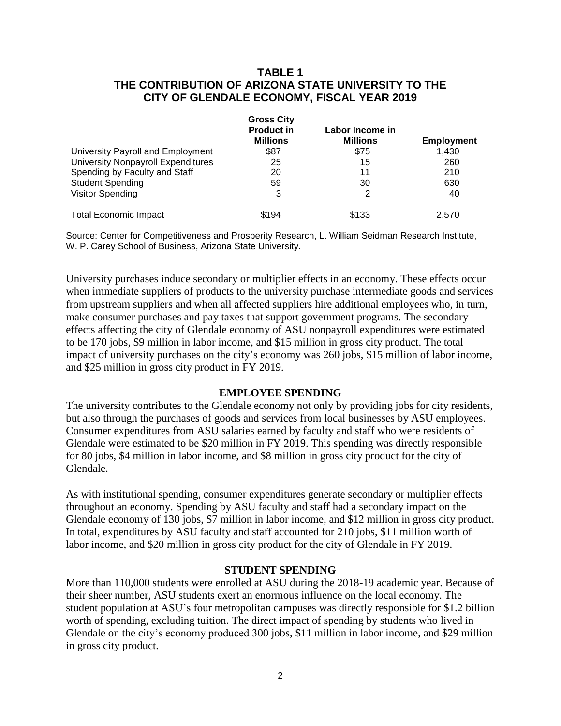## **TABLE 1 THE CONTRIBUTION OF ARIZONA STATE UNIVERSITY TO THE CITY OF GLENDALE ECONOMY, FISCAL YEAR 2019**

|                                           | <b>Gross City</b> | Labor Income in |                   |
|-------------------------------------------|-------------------|-----------------|-------------------|
|                                           | <b>Product in</b> |                 |                   |
|                                           | <b>Millions</b>   | <b>Millions</b> | <b>Employment</b> |
| University Payroll and Employment         | \$87              | \$75            | 1.430             |
| <b>University Nonpayroll Expenditures</b> | 25                | 15              | 260               |
| Spending by Faculty and Staff             | 20                | 11              | 210               |
| <b>Student Spending</b>                   | 59                | 30              | 630               |
| <b>Visitor Spending</b>                   | 3                 | 2               | 40                |
| <b>Total Economic Impact</b>              | \$194             | \$133           | 2.570             |

Source: Center for Competitiveness and Prosperity Research, L. William Seidman Research Institute, W. P. Carey School of Business, Arizona State University.

University purchases induce secondary or multiplier effects in an economy. These effects occur when immediate suppliers of products to the university purchase intermediate goods and services from upstream suppliers and when all affected suppliers hire additional employees who, in turn, make consumer purchases and pay taxes that support government programs. The secondary effects affecting the city of Glendale economy of ASU nonpayroll expenditures were estimated to be 170 jobs, \$9 million in labor income, and \$15 million in gross city product. The total impact of university purchases on the city's economy was 260 jobs, \$15 million of labor income, and \$25 million in gross city product in FY 2019.

## **EMPLOYEE SPENDING**

The university contributes to the Glendale economy not only by providing jobs for city residents, but also through the purchases of goods and services from local businesses by ASU employees. Consumer expenditures from ASU salaries earned by faculty and staff who were residents of Glendale were estimated to be \$20 million in FY 2019. This spending was directly responsible for 80 jobs, \$4 million in labor income, and \$8 million in gross city product for the city of Glendale.

As with institutional spending, consumer expenditures generate secondary or multiplier effects throughout an economy. Spending by ASU faculty and staff had a secondary impact on the Glendale economy of 130 jobs, \$7 million in labor income, and \$12 million in gross city product. In total, expenditures by ASU faculty and staff accounted for 210 jobs, \$11 million worth of labor income, and \$20 million in gross city product for the city of Glendale in FY 2019.

#### **STUDENT SPENDING**

More than 110,000 students were enrolled at ASU during the 2018-19 academic year. Because of their sheer number, ASU students exert an enormous influence on the local economy. The student population at ASU's four metropolitan campuses was directly responsible for \$1.2 billion worth of spending, excluding tuition. The direct impact of spending by students who lived in Glendale on the city's economy produced 300 jobs, \$11 million in labor income, and \$29 million in gross city product.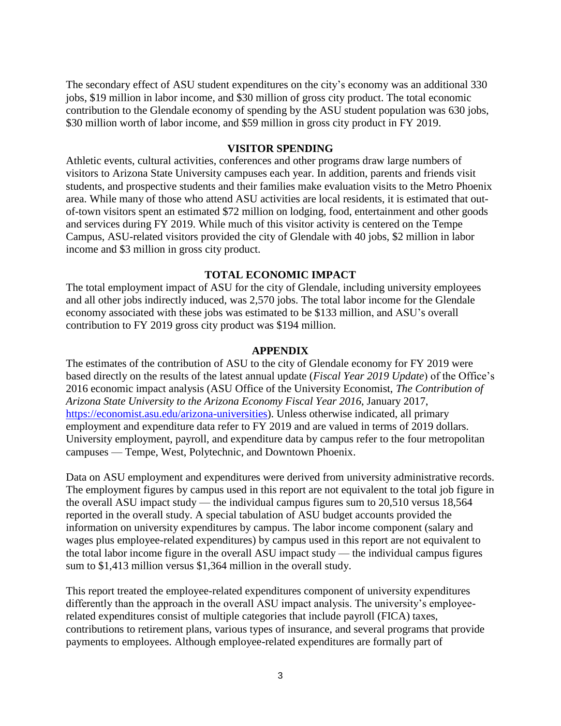The secondary effect of ASU student expenditures on the city's economy was an additional 330 jobs, \$19 million in labor income, and \$30 million of gross city product. The total economic contribution to the Glendale economy of spending by the ASU student population was 630 jobs, \$30 million worth of labor income, and \$59 million in gross city product in FY 2019.

#### **VISITOR SPENDING**

Athletic events, cultural activities, conferences and other programs draw large numbers of visitors to Arizona State University campuses each year. In addition, parents and friends visit students, and prospective students and their families make evaluation visits to the Metro Phoenix area. While many of those who attend ASU activities are local residents, it is estimated that outof-town visitors spent an estimated \$72 million on lodging, food, entertainment and other goods and services during FY 2019. While much of this visitor activity is centered on the Tempe Campus, ASU-related visitors provided the city of Glendale with 40 jobs, \$2 million in labor income and \$3 million in gross city product.

#### **TOTAL ECONOMIC IMPACT**

The total employment impact of ASU for the city of Glendale, including university employees and all other jobs indirectly induced, was 2,570 jobs. The total labor income for the Glendale economy associated with these jobs was estimated to be \$133 million, and ASU's overall contribution to FY 2019 gross city product was \$194 million.

#### **APPENDIX**

The estimates of the contribution of ASU to the city of Glendale economy for FY 2019 were based directly on the results of the latest annual update (*Fiscal Year 2019 Update*) of the Office's 2016 economic impact analysis (ASU Office of the University Economist, *The Contribution of Arizona State University to the Arizona Economy Fiscal Year 2016*, January 2017, [https://economist.asu.edu/arizona-universities\)](https://economist.asu.edu/arizona-universities). Unless otherwise indicated, all primary employment and expenditure data refer to FY 2019 and are valued in terms of 2019 dollars. University employment, payroll, and expenditure data by campus refer to the four metropolitan campuses — Tempe, West, Polytechnic, and Downtown Phoenix.

Data on ASU employment and expenditures were derived from university administrative records. The employment figures by campus used in this report are not equivalent to the total job figure in the overall ASU impact study — the individual campus figures sum to 20,510 versus 18,564 reported in the overall study. A special tabulation of ASU budget accounts provided the information on university expenditures by campus. The labor income component (salary and wages plus employee-related expenditures) by campus used in this report are not equivalent to the total labor income figure in the overall ASU impact study — the individual campus figures sum to \$1,413 million versus \$1,364 million in the overall study.

This report treated the employee-related expenditures component of university expenditures differently than the approach in the overall ASU impact analysis. The university's employeerelated expenditures consist of multiple categories that include payroll (FICA) taxes, contributions to retirement plans, various types of insurance, and several programs that provide payments to employees. Although employee-related expenditures are formally part of